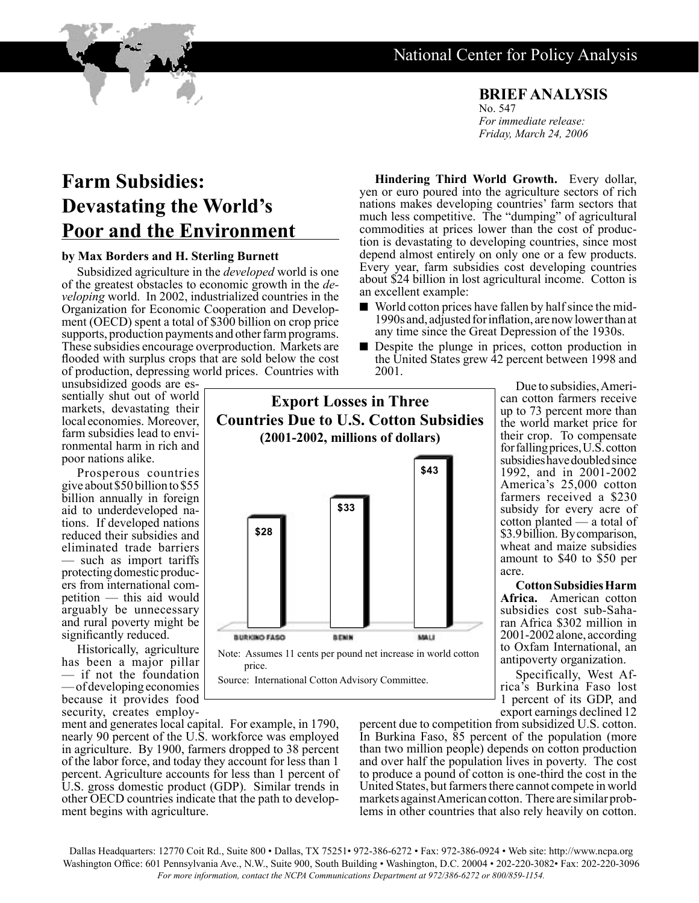## National Center for Policy Analysis

**Hindering Third World Growth.** Every dollar, yen or euro poured into the agriculture sectors of rich nations makes developing countries' farm sectors that much less competitive. The "dumping" of agricultural commodities at prices lower than the cost of produc- tion is devastating to developing countries, since most depend almost entirely on only one or a few products. Every year, farm subsidies cost developing countries about \$24 billion in lost agricultural income. Cotton is

■ World cotton prices have fallen by half since the mid-1990s and, adjusted for inflation, are now lower than at any time since the Great Depression of the 1930s. ■ Despite the plunge in prices, cotton production in the United States grew 42 percent between 1998 and

**BRIEF ANALYSIS** No. 547 *For immediate release: Friday, March 24, 2006*

## **Farm Subsidies: Devastating the World's Poor and the Environment**

## **by Max Borders and H. Sterling Burnett**

Subsidized agriculture in the *developed* world is one of the greatest obstacles to economic growth in the *developing* world. In 2002, industrialized countries in the Organization for Economic Cooperation and Development (OECD) spent a total of \$300 billion on crop price supports, production payments and other farm programs. These subsidies encourage overproduction. Markets are flooded with surplus crops that are sold below the cost of production, depressing world prices. Countries with

unsubsidized goods are es- sentially shut out of world markets, devastating their local economies. Moreover,<br>farm subsidies lead to environmental harm in rich and poor nations alike.

Prosperous countries give about \$50 billion to \$55 billion annually in foreign aid to underdeveloped na- tions. If developed nations reduced their subsidies and eliminated trade barriers — such as import tariffs<br>protecting domestic producers from international com-<br>petition — this aid would arguably be unnecessary and rural poverty might be significantly reduced.

Historically, agriculture has been a major pillar — if not the foundation — of developing economies because it provides food<br>security, creates employ-

**Export Losses in Three Countries Due to U.S. Cotton Subsidies (2001-2002, millions of dollars) \$33 \$43**

an excellent example:

2001.

**\$28 BURKINO FASO BENN** MALI Note: Assumes 11 cents per pound net increase in world cotton

price.

Source: International Cotton Advisory Committee.

Due to subsidies, Ameri- can cotton farmers receive up to 73 percent more than the world market price for their crop. To compensate for falling prices, U.S. cotton subsidies have doubled since 1992, and in 2001-2002 America's 25,000 cotton farmers received a \$230 subsidy for every acre of cotton planted — a total of \$3.9 billion. By comparison, wheat and maize subsidies amount to \$40 to \$50 per acre.

**Cotton Subsidies Harm Africa.** American cotton subsidies cost sub-Saha-<br>ran Africa \$302 million in 2001-2002 alone, according to Oxfam International, an antipoverty organization.

Specifically, West Af- rica's Burkina Faso lost 1 percent of its GDP, and export earnings declined 12

ment and generates local capital. For example, in 1790, nearly 90 percent of the U.S. workforce was employed in agriculture. By 1900, farmers dropped to 38 percent of the labor force, and today they account for less than 1 percent. Agriculture accounts for less than 1 percent of U.S. gross domestic product (GDP). Similar trends in other OECD countries indicate that the path to develop- ment begins with agriculture.

percent due to competition from subsidized U.S. cotton. In Burkina Faso, 85 percent of the population (more than two million people) depends on cotton production and over half the population lives in poverty. The cost to produce a pound of cotton is one-third the cost in the United States, but farmers there cannot compete in world markets against American cotton. There are similar prob-<br>lems in other countries that also rely heavily on cotton.

Dallas Headquarters: 12770 Coit Rd., Suite 800 • Dallas, TX 75251• 972-386-6272 • Fax: 972-386-0924 • Web site: http://www.ncpa.org Washington Office: 601 Pennsylvania Ave., N.W., Suite 900, South Building • Washington, D.C. 20004 • 202-220-3082• Fax: 202-220-3096 *For more information, contact the NCPA Communications Department at 972/386-6272 or 800/859-1154.*